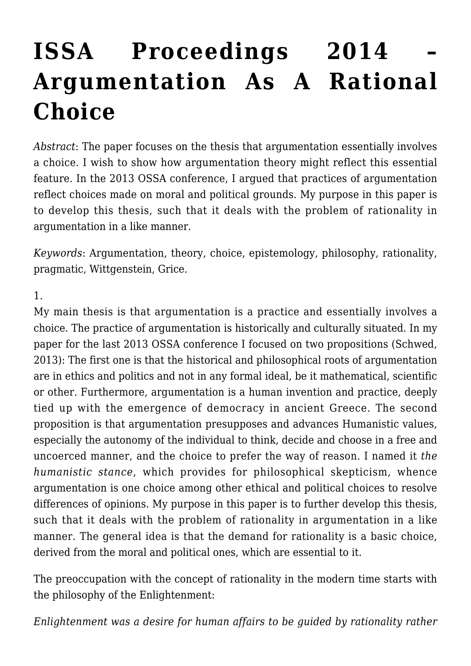# **[ISSA Proceedings 2014 –](https://rozenbergquarterly.com/issa-proceedings-2014-argumentation-as-a-rational-choice/) [Argumentation As A Rational](https://rozenbergquarterly.com/issa-proceedings-2014-argumentation-as-a-rational-choice/) [Choice](https://rozenbergquarterly.com/issa-proceedings-2014-argumentation-as-a-rational-choice/)**

*Abstract*: The paper focuses on the thesis that argumentation essentially involves a choice. I wish to show how argumentation theory might reflect this essential feature. In the 2013 OSSA conference, I argued that practices of argumentation reflect choices made on moral and political grounds. My purpose in this paper is to develop this thesis, such that it deals with the problem of rationality in argumentation in a like manner.

*Keywords*: Argumentation, theory, choice, epistemology, philosophy, rationality, pragmatic, Wittgenstein, Grice.

#### 1.

My main thesis is that argumentation is a practice and essentially involves a choice. The practice of argumentation is historically and culturally situated. In my paper for the last 2013 OSSA conference I focused on two propositions (Schwed, 2013): The first one is that the historical and philosophical roots of argumentation are in ethics and politics and not in any formal ideal, be it mathematical, scientific or other. Furthermore, argumentation is a human invention and practice, deeply tied up with the emergence of democracy in ancient Greece. The second proposition is that argumentation presupposes and advances Humanistic values, especially the autonomy of the individual to think, decide and choose in a free and uncoerced manner, and the choice to prefer the way of reason. I named it *the humanistic stance*, which provides for philosophical skepticism, whence argumentation is one choice among other ethical and political choices to resolve differences of opinions. My purpose in this paper is to further develop this thesis, such that it deals with the problem of rationality in argumentation in a like manner. The general idea is that the demand for rationality is a basic choice, derived from the moral and political ones, which are essential to it.

The preoccupation with the concept of rationality in the modern time starts with the philosophy of the Enlightenment:

*Enlightenment was a desire for human affairs to be guided by rationality rather*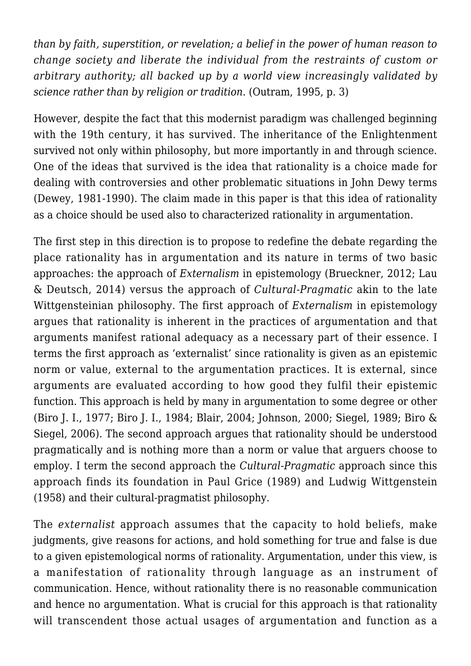*than by faith, superstition, or revelation; a belief in the power of human reason to change society and liberate the individual from the restraints of custom or arbitrary authority; all backed up by a world view increasingly validated by science rather than by religion or tradition.* (Outram, 1995, p. 3)

However, despite the fact that this modernist paradigm was challenged beginning with the 19th century, it has survived. The inheritance of the Enlightenment survived not only within philosophy, but more importantly in and through science. One of the ideas that survived is the idea that rationality is a choice made for dealing with controversies and other problematic situations in John Dewy terms (Dewey, 1981-1990). The claim made in this paper is that this idea of rationality as a choice should be used also to characterized rationality in argumentation.

The first step in this direction is to propose to redefine the debate regarding the place rationality has in argumentation and its nature in terms of two basic approaches: the approach of *Externalism* in epistemology (Brueckner, 2012; Lau & Deutsch, 2014) versus the approach of *Cultural-Pragmatic* akin to the late Wittgensteinian philosophy. The first approach of *Externalism* in epistemology argues that rationality is inherent in the practices of argumentation and that arguments manifest rational adequacy as a necessary part of their essence. I terms the first approach as 'externalist' since rationality is given as an epistemic norm or value, external to the argumentation practices. It is external, since arguments are evaluated according to how good they fulfil their epistemic function. This approach is held by many in argumentation to some degree or other (Biro J. I., 1977; Biro J. I., 1984; Blair, 2004; Johnson, 2000; Siegel, 1989; Biro & Siegel, 2006). The second approach argues that rationality should be understood pragmatically and is nothing more than a norm or value that arguers choose to employ. I term the second approach the *Cultural-Pragmatic* approach since this approach finds its foundation in Paul Grice (1989) and Ludwig Wittgenstein (1958) and their cultural-pragmatist philosophy.

The *externalist* approach assumes that the capacity to hold beliefs, make judgments, give reasons for actions, and hold something for true and false is due to a given epistemological norms of rationality. Argumentation, under this view, is a manifestation of rationality through language as an instrument of communication. Hence, without rationality there is no reasonable communication and hence no argumentation. What is crucial for this approach is that rationality will transcendent those actual usages of argumentation and function as a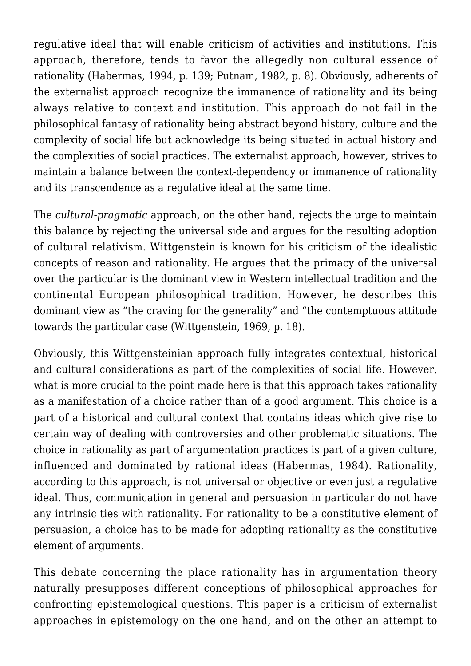regulative ideal that will enable criticism of activities and institutions. This approach, therefore, tends to favor the allegedly non cultural essence of rationality (Habermas, 1994, p. 139; Putnam, 1982, p. 8). Obviously, adherents of the externalist approach recognize the immanence of rationality and its being always relative to context and institution. This approach do not fail in the philosophical fantasy of rationality being abstract beyond history, culture and the complexity of social life but acknowledge its being situated in actual history and the complexities of social practices. The externalist approach, however, strives to maintain a balance between the context-dependency or immanence of rationality and its transcendence as a regulative ideal at the same time.

The *cultural-pragmatic* approach, on the other hand, rejects the urge to maintain this balance by rejecting the universal side and argues for the resulting adoption of cultural relativism. Wittgenstein is known for his criticism of the idealistic concepts of reason and rationality. He argues that the primacy of the universal over the particular is the dominant view in Western intellectual tradition and the continental European philosophical tradition. However, he describes this dominant view as "the craving for the generality" and "the contemptuous attitude towards the particular case (Wittgenstein, 1969, p. 18).

Obviously, this Wittgensteinian approach fully integrates contextual, historical and cultural considerations as part of the complexities of social life. However, what is more crucial to the point made here is that this approach takes rationality as a manifestation of a choice rather than of a good argument. This choice is a part of a historical and cultural context that contains ideas which give rise to certain way of dealing with controversies and other problematic situations. The choice in rationality as part of argumentation practices is part of a given culture, influenced and dominated by rational ideas (Habermas, 1984). Rationality, according to this approach, is not universal or objective or even just a regulative ideal. Thus, communication in general and persuasion in particular do not have any intrinsic ties with rationality. For rationality to be a constitutive element of persuasion, a choice has to be made for adopting rationality as the constitutive element of arguments.

This debate concerning the place rationality has in argumentation theory naturally presupposes different conceptions of philosophical approaches for confronting epistemological questions. This paper is a criticism of externalist approaches in epistemology on the one hand, and on the other an attempt to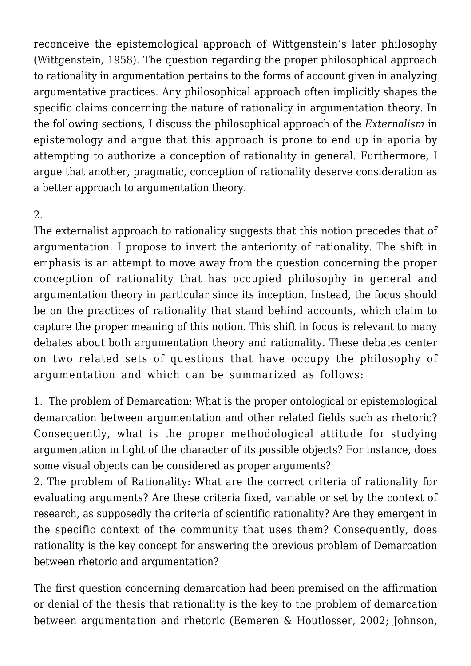reconceive the epistemological approach of Wittgenstein's later philosophy (Wittgenstein, 1958). The question regarding the proper philosophical approach to rationality in argumentation pertains to the forms of account given in analyzing argumentative practices. Any philosophical approach often implicitly shapes the specific claims concerning the nature of rationality in argumentation theory. In the following sections, I discuss the philosophical approach of the *Externalism* in epistemology and argue that this approach is prone to end up in aporia by attempting to authorize a conception of rationality in general. Furthermore, I argue that another, pragmatic, conception of rationality deserve consideration as a better approach to argumentation theory.

## 2.

The externalist approach to rationality suggests that this notion precedes that of argumentation. I propose to invert the anteriority of rationality. The shift in emphasis is an attempt to move away from the question concerning the proper conception of rationality that has occupied philosophy in general and argumentation theory in particular since its inception. Instead, the focus should be on the practices of rationality that stand behind accounts, which claim to capture the proper meaning of this notion. This shift in focus is relevant to many debates about both argumentation theory and rationality. These debates center on two related sets of questions that have occupy the philosophy of argumentation and which can be summarized as follows:

1. The problem of Demarcation: What is the proper ontological or epistemological demarcation between argumentation and other related fields such as rhetoric? Consequently, what is the proper methodological attitude for studying argumentation in light of the character of its possible objects? For instance, does some visual objects can be considered as proper arguments?

2. The problem of Rationality: What are the correct criteria of rationality for evaluating arguments? Are these criteria fixed, variable or set by the context of research, as supposedly the criteria of scientific rationality? Are they emergent in the specific context of the community that uses them? Consequently, does rationality is the key concept for answering the previous problem of Demarcation between rhetoric and argumentation?

The first question concerning demarcation had been premised on the affirmation or denial of the thesis that rationality is the key to the problem of demarcation between argumentation and rhetoric (Eemeren & Houtlosser, 2002; Johnson,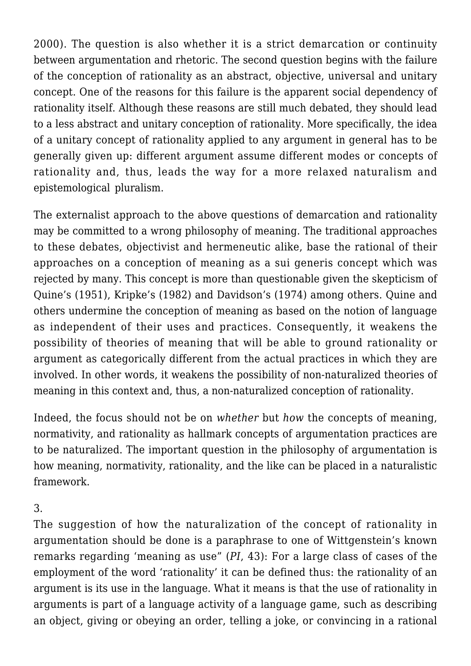2000). The question is also whether it is a strict demarcation or continuity between argumentation and rhetoric. The second question begins with the failure of the conception of rationality as an abstract, objective, universal and unitary concept. One of the reasons for this failure is the apparent social dependency of rationality itself. Although these reasons are still much debated, they should lead to a less abstract and unitary conception of rationality. More specifically, the idea of a unitary concept of rationality applied to any argument in general has to be generally given up: different argument assume different modes or concepts of rationality and, thus, leads the way for a more relaxed naturalism and epistemological pluralism.

The externalist approach to the above questions of demarcation and rationality may be committed to a wrong philosophy of meaning. The traditional approaches to these debates, objectivist and hermeneutic alike, base the rational of their approaches on a conception of meaning as a sui generis concept which was rejected by many. This concept is more than questionable given the skepticism of Quine's (1951), Kripke's (1982) and Davidson's (1974) among others. Quine and others undermine the conception of meaning as based on the notion of language as independent of their uses and practices. Consequently, it weakens the possibility of theories of meaning that will be able to ground rationality or argument as categorically different from the actual practices in which they are involved. In other words, it weakens the possibility of non-naturalized theories of meaning in this context and, thus, a non-naturalized conception of rationality.

Indeed, the focus should not be on *whether* but *how* the concepts of meaning, normativity, and rationality as hallmark concepts of argumentation practices are to be naturalized. The important question in the philosophy of argumentation is how meaning, normativity, rationality, and the like can be placed in a naturalistic framework.

### 3.

The suggestion of how the naturalization of the concept of rationality in argumentation should be done is a paraphrase to one of Wittgenstein's known remarks regarding 'meaning as use" (*PI*, 43): For a large class of cases of the employment of the word 'rationality' it can be defined thus: the rationality of an argument is its use in the language. What it means is that the use of rationality in arguments is part of a language activity of a language game, such as describing an object, giving or obeying an order, telling a joke, or convincing in a rational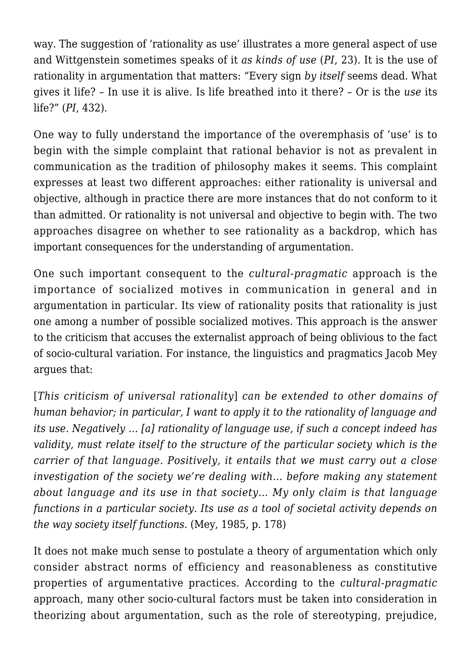way. The suggestion of 'rationality as use' illustrates a more general aspect of use and Wittgenstein sometimes speaks of it *as kinds of use* (*PI*, 23). It is the use of rationality in argumentation that matters: "Every sign *by itself* seems dead. What gives it life? – In use it is alive. Is life breathed into it there? – Or is the *use* its life?" (*PI*, 432).

One way to fully understand the importance of the overemphasis of 'use' is to begin with the simple complaint that rational behavior is not as prevalent in communication as the tradition of philosophy makes it seems. This complaint expresses at least two different approaches: either rationality is universal and objective, although in practice there are more instances that do not conform to it than admitted. Or rationality is not universal and objective to begin with. The two approaches disagree on whether to see rationality as a backdrop, which has important consequences for the understanding of argumentation.

One such important consequent to the *cultural-pragmatic* approach is the importance of socialized motives in communication in general and in argumentation in particular. Its view of rationality posits that rationality is just one among a number of possible socialized motives. This approach is the answer to the criticism that accuses the externalist approach of being oblivious to the fact of socio-cultural variation. For instance, the linguistics and pragmatics Jacob Mey argues that:

[*This criticism of universal rationality*] *can be extended to other domains of human behavior; in particular, I want to apply it to the rationality of language and its use. Negatively … [a] rationality of language use, if such a concept indeed has validity, must relate itself to the structure of the particular society which is the carrier of that language. Positively, it entails that we must carry out a close investigation of the society we're dealing with… before making any statement about language and its use in that society… My only claim is that language functions in a particular society. Its use as a tool of societal activity depends on the way society itself functions.* (Mey, 1985, p. 178)

It does not make much sense to postulate a theory of argumentation which only consider abstract norms of efficiency and reasonableness as constitutive properties of argumentative practices. According to the *cultural-pragmatic* approach, many other socio-cultural factors must be taken into consideration in theorizing about argumentation, such as the role of stereotyping, prejudice,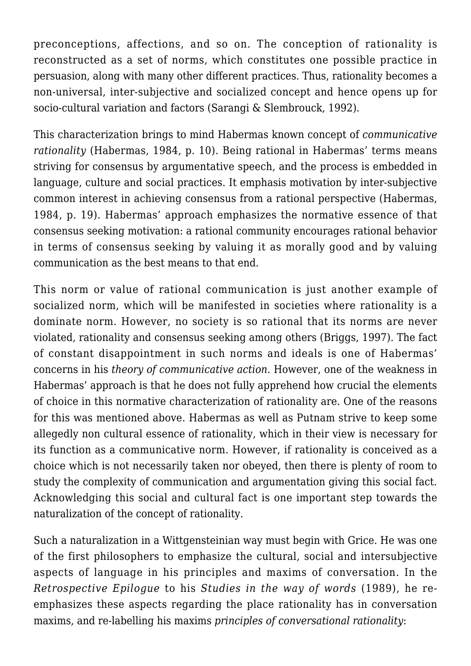preconceptions, affections, and so on. The conception of rationality is reconstructed as a set of norms, which constitutes one possible practice in persuasion, along with many other different practices. Thus, rationality becomes a non-universal, inter-subjective and socialized concept and hence opens up for socio-cultural variation and factors (Sarangi & Slembrouck, 1992).

This characterization brings to mind Habermas known concept of *communicative rationality* (Habermas, 1984, p. 10). Being rational in Habermas' terms means striving for consensus by argumentative speech, and the process is embedded in language, culture and social practices. It emphasis motivation by inter-subjective common interest in achieving consensus from a rational perspective (Habermas, 1984, p. 19). Habermas' approach emphasizes the normative essence of that consensus seeking motivation: a rational community encourages rational behavior in terms of consensus seeking by valuing it as morally good and by valuing communication as the best means to that end.

This norm or value of rational communication is just another example of socialized norm, which will be manifested in societies where rationality is a dominate norm. However, no society is so rational that its norms are never violated, rationality and consensus seeking among others (Briggs, 1997). The fact of constant disappointment in such norms and ideals is one of Habermas' concerns in his *theory of communicative action.* However, one of the weakness in Habermas' approach is that he does not fully apprehend how crucial the elements of choice in this normative characterization of rationality are. One of the reasons for this was mentioned above. Habermas as well as Putnam strive to keep some allegedly non cultural essence of rationality, which in their view is necessary for its function as a communicative norm. However, if rationality is conceived as a choice which is not necessarily taken nor obeyed, then there is plenty of room to study the complexity of communication and argumentation giving this social fact. Acknowledging this social and cultural fact is one important step towards the naturalization of the concept of rationality.

Such a naturalization in a Wittgensteinian way must begin with Grice. He was one of the first philosophers to emphasize the cultural, social and intersubjective aspects of language in his principles and maxims of conversation. In the *Retrospective Epilogue* to his *Studies in the way of words* (1989), he reemphasizes these aspects regarding the place rationality has in conversation maxims, and re-labelling his maxims *principles of conversational rationality*: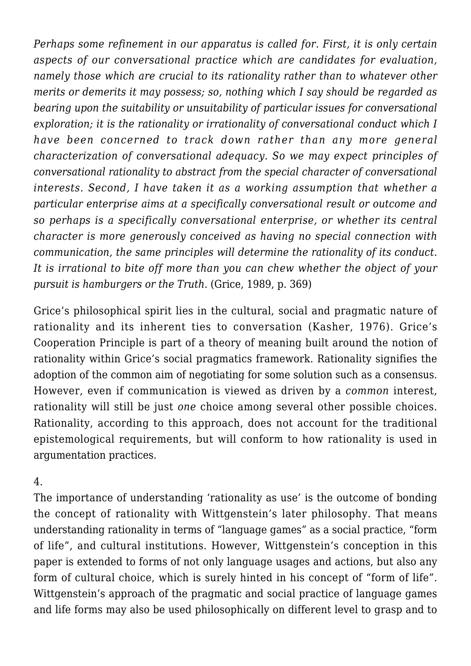*Perhaps some refinement in our apparatus is called for. First, it is only certain aspects of our conversational practice which are candidates for evaluation, namely those which are crucial to its rationality rather than to whatever other merits or demerits it may possess; so, nothing which I say should be regarded as bearing upon the suitability or unsuitability of particular issues for conversational exploration; it is the rationality or irrationality of conversational conduct which I have been concerned to track down rather than any more general characterization of conversational adequacy. So we may expect principles of conversational rationality to abstract from the special character of conversational interests. Second, I have taken it as a working assumption that whether a particular enterprise aims at a specifically conversational result or outcome and so perhaps is a specifically conversational enterprise, or whether its central character is more generously conceived as having no special connection with communication, the same principles will determine the rationality of its conduct. It is irrational to bite off more than you can chew whether the object of your pursuit is hamburgers or the Truth*. (Grice, 1989, p. 369)

Grice's philosophical spirit lies in the cultural, social and pragmatic nature of rationality and its inherent ties to conversation (Kasher, 1976). Grice's Cooperation Principle is part of a theory of meaning built around the notion of rationality within Grice's social pragmatics framework. Rationality signifies the adoption of the common aim of negotiating for some solution such as a consensus. However, even if communication is viewed as driven by a *common* interest, rationality will still be just *one* choice among several other possible choices. Rationality, according to this approach, does not account for the traditional epistemological requirements, but will conform to how rationality is used in argumentation practices.

### 4.

The importance of understanding 'rationality as use' is the outcome of bonding the concept of rationality with Wittgenstein's later philosophy. That means understanding rationality in terms of "language games" as a social practice, "form of life", and cultural institutions. However, Wittgenstein's conception in this paper is extended to forms of not only language usages and actions, but also any form of cultural choice, which is surely hinted in his concept of "form of life". Wittgenstein's approach of the pragmatic and social practice of language games and life forms may also be used philosophically on different level to grasp and to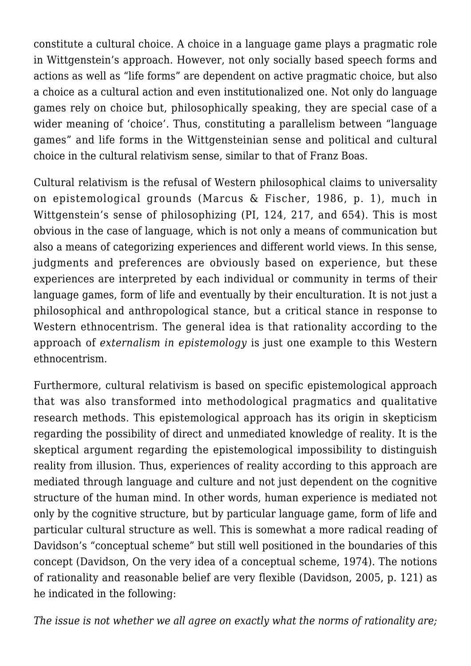constitute a cultural choice. A choice in a language game plays a pragmatic role in Wittgenstein's approach. However, not only socially based speech forms and actions as well as "life forms" are dependent on active pragmatic choice, but also a choice as a cultural action and even institutionalized one. Not only do language games rely on choice but, philosophically speaking, they are special case of a wider meaning of 'choice'. Thus, constituting a parallelism between "language games" and life forms in the Wittgensteinian sense and political and cultural choice in the cultural relativism sense, similar to that of Franz Boas.

Cultural relativism is the refusal of Western philosophical claims to universality on epistemological grounds (Marcus & Fischer, 1986, p. 1), much in Wittgenstein's sense of philosophizing (PI, 124, 217, and 654). This is most obvious in the case of language, which is not only a means of communication but also a means of categorizing experiences and different world views. In this sense, judgments and preferences are obviously based on experience, but these experiences are interpreted by each individual or community in terms of their language games, form of life and eventually by their enculturation. It is not just a philosophical and anthropological stance, but a critical stance in response to Western ethnocentrism. The general idea is that rationality according to the approach of *externalism in epistemology* is just one example to this Western ethnocentrism.

Furthermore, cultural relativism is based on specific epistemological approach that was also transformed into methodological pragmatics and qualitative research methods. This epistemological approach has its origin in skepticism regarding the possibility of direct and unmediated knowledge of reality. It is the skeptical argument regarding the epistemological impossibility to distinguish reality from illusion. Thus, experiences of reality according to this approach are mediated through language and culture and not just dependent on the cognitive structure of the human mind. In other words, human experience is mediated not only by the cognitive structure, but by particular language game, form of life and particular cultural structure as well. This is somewhat a more radical reading of Davidson's "conceptual scheme" but still well positioned in the boundaries of this concept (Davidson, On the very idea of a conceptual scheme, 1974). The notions of rationality and reasonable belief are very flexible (Davidson, 2005, p. 121) as he indicated in the following:

*The issue is not whether we all agree on exactly what the norms of rationality are;*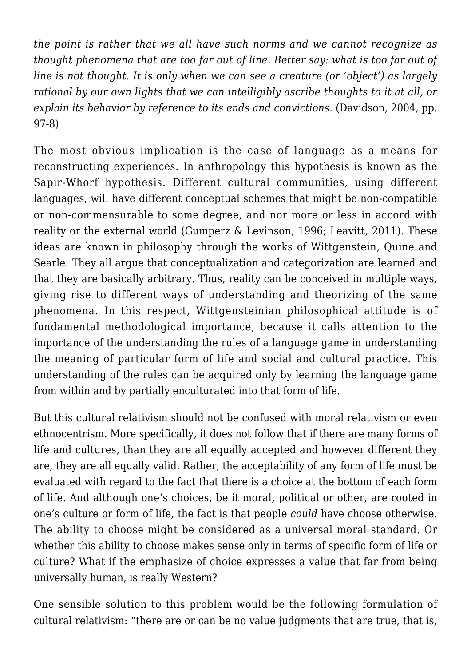*the point is rather that we all have such norms and we cannot recognize as thought phenomena that are too far out of line. Better say: what is too far out of line is not thought. It is only when we can see a creature (or 'object') as largely rational by our own lights that we can intelligibly ascribe thoughts to it at all, or explain its behavior by reference to its ends and convictions.* (Davidson, 2004, pp. 97-8)

The most obvious implication is the case of language as a means for reconstructing experiences. In anthropology this hypothesis is known as the Sapir-Whorf hypothesis. Different cultural communities, using different languages, will have different conceptual schemes that might be non-compatible or non-commensurable to some degree, and nor more or less in accord with reality or the external world (Gumperz & Levinson, 1996; Leavitt, 2011). These ideas are known in philosophy through the works of Wittgenstein, Quine and Searle. They all argue that conceptualization and categorization are learned and that they are basically arbitrary. Thus, reality can be conceived in multiple ways, giving rise to different ways of understanding and theorizing of the same phenomena. In this respect, Wittgensteinian philosophical attitude is of fundamental methodological importance, because it calls attention to the importance of the understanding the rules of a language game in understanding the meaning of particular form of life and social and cultural practice. This understanding of the rules can be acquired only by learning the language game from within and by partially enculturated into that form of life.

But this cultural relativism should not be confused with moral relativism or even ethnocentrism. More specifically, it does not follow that if there are many forms of life and cultures, than they are all equally accepted and however different they are, they are all equally valid. Rather, the acceptability of any form of life must be evaluated with regard to the fact that there is a choice at the bottom of each form of life. And although one's choices, be it moral, political or other, are rooted in one's culture or form of life, the fact is that people *could* have choose otherwise. The ability to choose might be considered as a universal moral standard. Or whether this ability to choose makes sense only in terms of specific form of life or culture? What if the emphasize of choice expresses a value that far from being universally human, is really Western?

One sensible solution to this problem would be the following formulation of cultural relativism: "there are or can be no value judgments that are true, that is,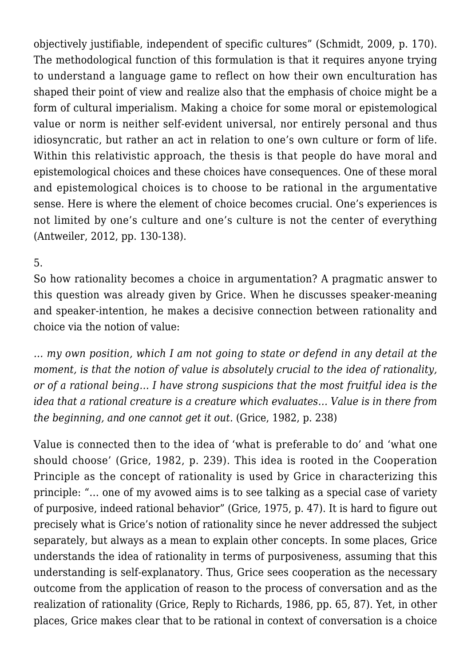objectively justifiable, independent of specific cultures" (Schmidt, 2009, p. 170). The methodological function of this formulation is that it requires anyone trying to understand a language game to reflect on how their own enculturation has shaped their point of view and realize also that the emphasis of choice might be a form of cultural imperialism. Making a choice for some moral or epistemological value or norm is neither self-evident universal, nor entirely personal and thus idiosyncratic, but rather an act in relation to one's own culture or form of life. Within this relativistic approach, the thesis is that people do have moral and epistemological choices and these choices have consequences. One of these moral and epistemological choices is to choose to be rational in the argumentative sense. Here is where the element of choice becomes crucial. One's experiences is not limited by one's culture and one's culture is not the center of everything (Antweiler, 2012, pp. 130-138).

### 5.

So how rationality becomes a choice in argumentation? A pragmatic answer to this question was already given by Grice. When he discusses speaker-meaning and speaker-intention, he makes a decisive connection between rationality and choice via the notion of value:

*… my own position, which I am not going to state or defend in any detail at the moment, is that the notion of value is absolutely crucial to the idea of rationality, or of a rational being… I have strong suspicions that the most fruitful idea is the idea that a rational creature is a creature which evaluates… Value is in there from the beginning, and one cannot get it out.* (Grice, 1982, p. 238)

Value is connected then to the idea of 'what is preferable to do' and 'what one should choose' (Grice, 1982, p. 239). This idea is rooted in the Cooperation Principle as the concept of rationality is used by Grice in characterizing this principle: "… one of my avowed aims is to see talking as a special case of variety of purposive, indeed rational behavior" (Grice, 1975, p. 47). It is hard to figure out precisely what is Grice's notion of rationality since he never addressed the subject separately, but always as a mean to explain other concepts. In some places, Grice understands the idea of rationality in terms of purposiveness, assuming that this understanding is self-explanatory. Thus, Grice sees cooperation as the necessary outcome from the application of reason to the process of conversation and as the realization of rationality (Grice, Reply to Richards, 1986, pp. 65, 87). Yet, in other places, Grice makes clear that to be rational in context of conversation is a choice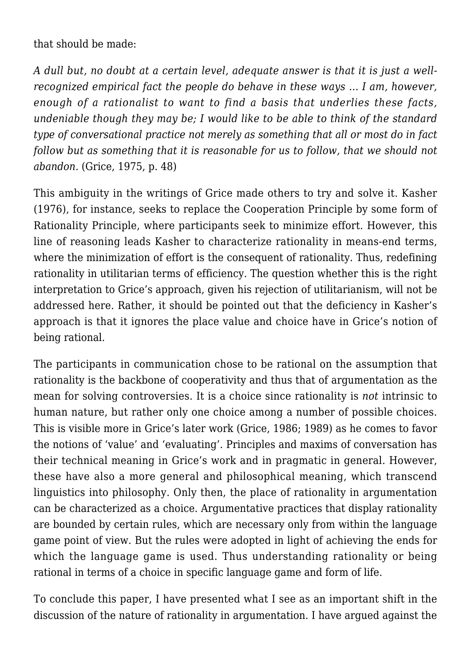that should be made:

*A dull but, no doubt at a certain level, adequate answer is that it is just a wellrecognized empirical fact the people do behave in these ways … I am, however, enough of a rationalist to want to find a basis that underlies these facts, undeniable though they may be; I would like to be able to think of the standard type of conversational practice not merely as something that all or most do in fact follow but as something that it is reasonable for us to follow, that we should not abandon.* (Grice, 1975, p. 48)

This ambiguity in the writings of Grice made others to try and solve it. Kasher (1976), for instance, seeks to replace the Cooperation Principle by some form of Rationality Principle, where participants seek to minimize effort. However, this line of reasoning leads Kasher to characterize rationality in means-end terms, where the minimization of effort is the consequent of rationality. Thus, redefining rationality in utilitarian terms of efficiency. The question whether this is the right interpretation to Grice's approach, given his rejection of utilitarianism, will not be addressed here. Rather, it should be pointed out that the deficiency in Kasher's approach is that it ignores the place value and choice have in Grice's notion of being rational.

The participants in communication chose to be rational on the assumption that rationality is the backbone of cooperativity and thus that of argumentation as the mean for solving controversies. It is a choice since rationality is *not* intrinsic to human nature, but rather only one choice among a number of possible choices. This is visible more in Grice's later work (Grice, 1986; 1989) as he comes to favor the notions of 'value' and 'evaluating'. Principles and maxims of conversation has their technical meaning in Grice's work and in pragmatic in general. However, these have also a more general and philosophical meaning, which transcend linguistics into philosophy. Only then, the place of rationality in argumentation can be characterized as a choice. Argumentative practices that display rationality are bounded by certain rules, which are necessary only from within the language game point of view. But the rules were adopted in light of achieving the ends for which the language game is used. Thus understanding rationality or being rational in terms of a choice in specific language game and form of life.

To conclude this paper, I have presented what I see as an important shift in the discussion of the nature of rationality in argumentation. I have argued against the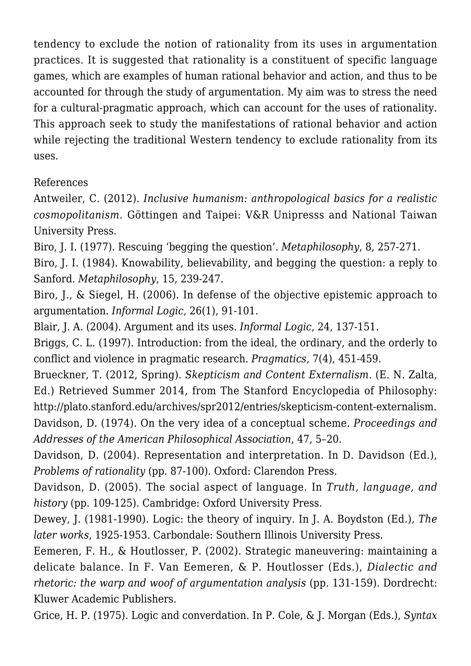tendency to exclude the notion of rationality from its uses in argumentation practices. It is suggested that rationality is a constituent of specific language games, which are examples of human rational behavior and action, and thus to be accounted for through the study of argumentation. My aim was to stress the need for a cultural-pragmatic approach, which can account for the uses of rationality. This approach seek to study the manifestations of rational behavior and action while rejecting the traditional Western tendency to exclude rationality from its uses.

### References

Antweiler, C. (2012). *Inclusive humanism: anthropological basics for a realistic cosmopolitanism*. Göttingen and Taipei: V&R Unipresss and National Taiwan University Press.

Biro, J. I. (1977). Rescuing 'begging the question'. *Metaphilosophy*, 8, 257-271.

Biro, J. I. (1984). Knowability, believability, and begging the question: a reply to Sanford. *Metaphilosophy*, 15, 239-247.

Biro, J., & Siegel, H. (2006). In defense of the objective epistemic approach to argumentation. *Informal Logic,* 26(1), 91-101.

Blair, J. A. (2004). Argument and its uses. *Informal Logic*, 24, 137-151.

Briggs, C. L. (1997). Introduction: from the ideal, the ordinary, and the orderly to conflict and violence in pragmatic research. *Pragmatics,* 7(4), 451-459.

Brueckner, T. (2012, Spring). *Skepticism and Content Externalism.* (E. N. Zalta, Ed.) Retrieved Summer 2014, from The Stanford Encyclopedia of Philosophy: http://plato.stanford.edu/archives/spr2012/entries/skepticism-content-externalism. Davidson, D. (1974). On the very idea of a conceptual scheme. *Proceedings and Addresses of the American Philosophical Association*, 47, 5–20.

Davidson, D. (2004). Representation and interpretation. In D. Davidson (Ed.), *Problems of rationality* (pp. 87-100). Oxford: Clarendon Press.

Davidson, D. (2005). The social aspect of language. In *Truth, language, and history* (pp. 109-125). Cambridge: Oxford University Press.

Dewey, J. (1981-1990). Logic: the theory of inquiry. In J. A. Boydston (Ed.), *The later works*, 1925-1953. Carbondale: Southern Illinois University Press.

Eemeren, F. H., & Houtlosser, P. (2002). Strategic maneuvering: maintaining a delicate balance. In F. Van Eemeren, & P. Houtlosser (Eds.), *Dialectic and rhetoric: the warp and woof of argumentation analysis* (pp. 131-159). Dordrecht: Kluwer Academic Publishers.

Grice, H. P. (1975). Logic and converdation. In P. Cole, & J. Morgan (Eds.), *Syntax*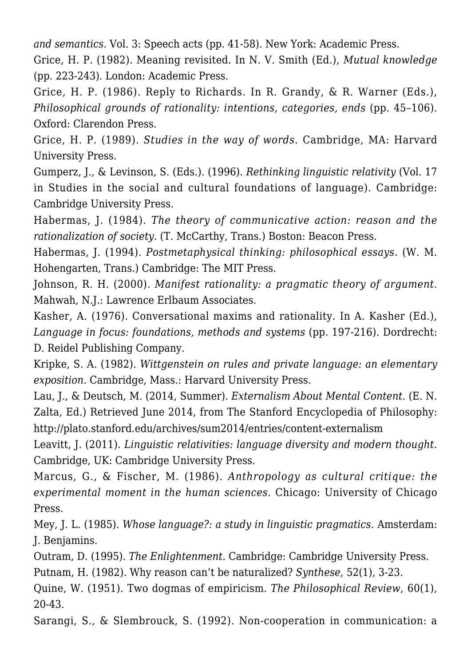*and semantics.* Vol. 3: Speech acts (pp. 41-58). New York: Academic Press.

Grice, H. P. (1982). Meaning revisited. In N. V. Smith (Ed.), *Mutual knowledge* (pp. 223-243). London: Academic Press.

Grice, H. P. (1986). Reply to Richards. In R. Grandy, & R. Warner (Eds.), *Philosophical grounds of rationality: intentions, categories, ends* (pp. 45–106). Oxford: Clarendon Press.

Grice, H. P. (1989). *Studies in the way of words.* Cambridge, MA: Harvard University Press.

Gumperz, J., & Levinson, S. (Eds.). (1996). *Rethinking linguistic relativity* (Vol. 17 in Studies in the social and cultural foundations of language). Cambridge: Cambridge University Press.

Habermas, J. (1984). *The theory of communicative action: reason and the rationalization of society.* (T. McCarthy, Trans.) Boston: Beacon Press.

Habermas, J. (1994). *Postmetaphysical thinking: philosophical essays.* (W. M. Hohengarten, Trans.) Cambridge: The MIT Press.

Johnson, R. H. (2000). *Manifest rationality: a pragmatic theory of argument.* Mahwah, N.J.: Lawrence Erlbaum Associates.

Kasher, A. (1976). Conversational maxims and rationality. In A. Kasher (Ed.), *Language in focus: foundations, methods and systems* (pp. 197-216). Dordrecht: D. Reidel Publishing Company.

Kripke, S. A. (1982). *Wittgenstein on rules and private language: an elementary exposition.* Cambridge, Mass.: Harvard University Press.

Lau, J., & Deutsch, M. (2014, Summer). *Externalism About Mental Content.* (E. N. Zalta, Ed.) Retrieved June 2014, from The Stanford Encyclopedia of Philosophy: http://plato.stanford.edu/archives/sum2014/entries/content-externalism

Leavitt, J. (2011). *Linguistic relativities: language diversity and modern thought*. Cambridge, UK: Cambridge University Press.

Marcus, G., & Fischer, M. (1986). *Anthropology as cultural critique: the experimental moment in the human sciences.* Chicago: University of Chicago Press.

Mey, J. L. (1985)*. Whose language?: a study in linguistic pragmatics*. Amsterdam: J. Benjamins.

Outram, D. (1995). *The Enlightenment.* Cambridge: Cambridge University Press.

Putnam, H. (1982). Why reason can't be naturalized? *Synthese*, 52(1), 3-23.

Quine, W. (1951). Two dogmas of empiricism. *The Philosophical Review*, 60(1), 20-43.

Sarangi, S., & Slembrouck, S. (1992). Non-cooperation in communication: a